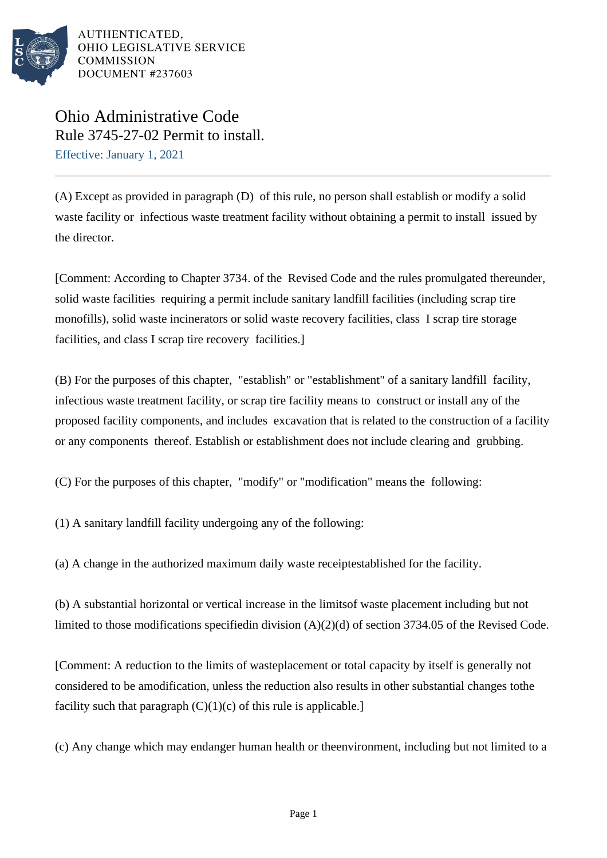

# Ohio Administrative Code Rule 3745-27-02 Permit to install. Effective: January 1, 2021

(A) Except as provided in paragraph (D) of this rule, no person shall establish or modify a solid waste facility or infectious waste treatment facility without obtaining a permit to install issued by the director.

[Comment: According to Chapter 3734. of the Revised Code and the rules promulgated thereunder, solid waste facilities requiring a permit include sanitary landfill facilities (including scrap tire monofills), solid waste incinerators or solid waste recovery facilities, class I scrap tire storage facilities, and class I scrap tire recovery facilities.]

(B) For the purposes of this chapter, "establish" or "establishment" of a sanitary landfill facility, infectious waste treatment facility, or scrap tire facility means to construct or install any of the proposed facility components, and includes excavation that is related to the construction of a facility or any components thereof. Establish or establishment does not include clearing and grubbing.

(C) For the purposes of this chapter, "modify" or "modification" means the following:

 $(1)$  A sanitary landfill facility undergoing any of the following:

(a) A change in the authorized maximum daily waste receipt established for the facility.

(b) A substantial horizontal or vertical increase in the limits of waste placement including but not limited to those modifications specified in division  $(A)(2)(d)$  of section 3734.05 of the Revised Code.

[Comment: A reduction to the limits of waste placement or total capacity by itself is generally not considered to be a modification, unless the reduction also results in other substantial changes to the facility such that paragraph  $(C)(1)(c)$  of this rule is applicable.]

(c) Any change which may endanger human health or the environment, including but not limited to a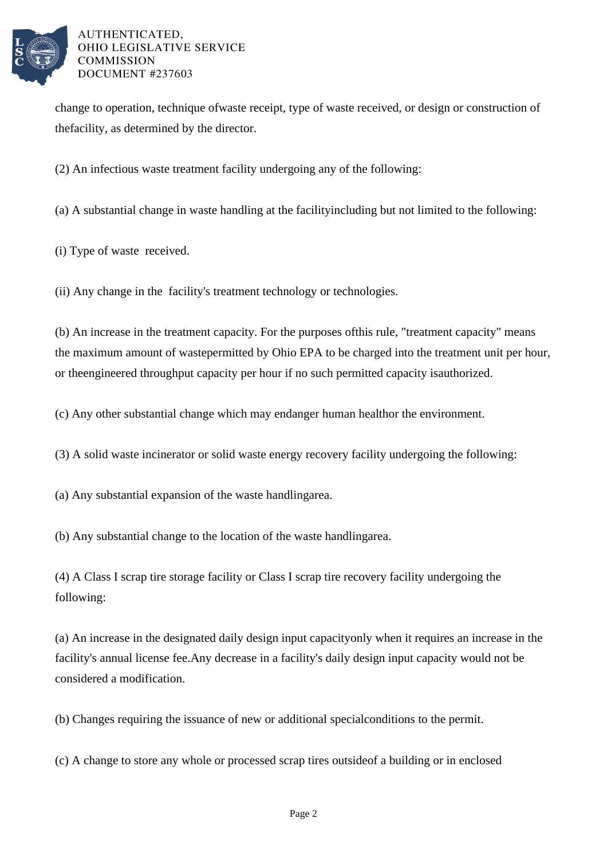

change to operation, technique of waste receipt, type of waste received, or design or construction of the facility, as determined by the director.

(2) An infectious waste treatment facility undergoing any of the following:

(a) A substantial change in waste handling at the facility including but not limited to the following:

(i) Type of waste received.

(ii) Any change in the facility's treatment technology or technologies.

(b) An increase in the treatment capacity. For the purposes of this rule, "treatment capacity" means the maximum amount of waste permitted by Ohio EPA to be charged into the treatment unit per hour, or the engineered throughput capacity per hour if no such permitted capacity is authorized.

(c) Any other substantial change which may endanger human health or the environment.

(3) A solid waste incinerator or solid waste energy recovery facility undergoing the following:

 $(a)$  Any substantial expansion of the waste handling area.

(b) Any substantial change to the location of the waste handling area.

(4) A Class I scrap tire storage facility or Class I scrap tire recovery facility undergoing the following:

(a) An increase in the designated daily design input capacity only when it requires an increase in the facility's annual license fee. Any decrease in a facility's daily design input capacity would not be considered a modification.

(b) Changes requiring the issuance of new or additional special conditions to the permit.

(c) A change to store any whole or processed scrap tires outside of a building or in enclosed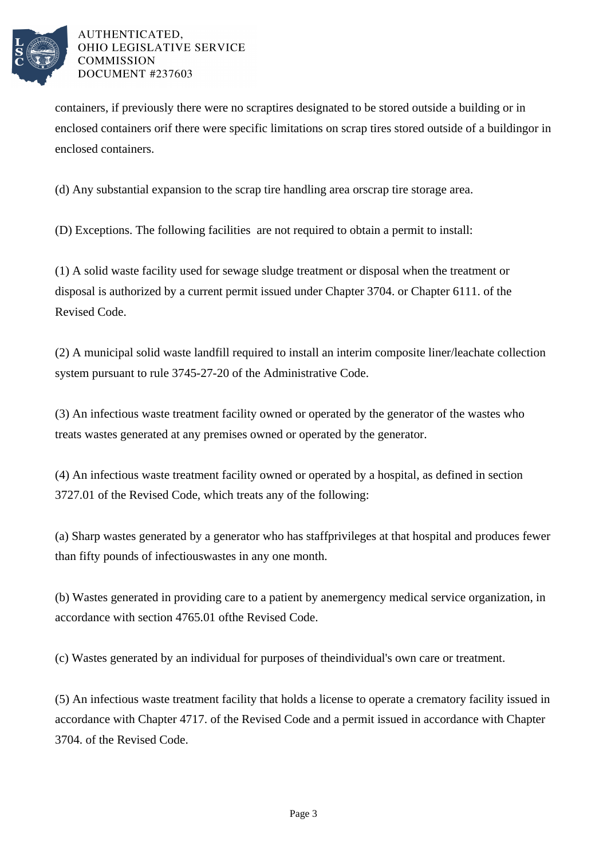

containers, if previously there were no scrap tires designated to be stored outside a building or in enclosed containers or if there were specific limitations on scrap tires stored outside of a building or in enclosed containers.

(d) Any substantial expansion to the scrap tire handling area or scrap tire storage area.

(D) Exceptions. The following facilities are not required to obtain a permit to install:

(1) A solid waste facility used for sewage sludge treatment or disposal when the treatment or disposal is authorized by a current permit issued under Chapter 3704. or Chapter 6111. of the Revised Code.

(2) A municipal solid waste landfill required to install an interim composite liner/leachate collection system pursuant to rule 3745-27-20 of the Administrative Code.

(3) An infectious waste treatment facility owned or operated by the generator of the wastes who treats wastes generated at any premises owned or operated by the generator.

(4) An infectious waste treatment facility owned or operated by a hospital, as defined in section 3727.01 of the Revised Code, which treats any of the following:

(a) Sharp wastes generated by a generator who has staff privileges at that hospital and produces fewer than fifty pounds of infectious wastes in any one month.

(b) Wastes generated in providing care to a patient by an emergency medical service organization, in accordance with section 4765.01 of the Revised Code.

(c) Wastes generated by an individual for purposes of the individual's own care or treatment.

(5) An infectious waste treatment facility that holds a license to operate a crematory facility issued in accordance with Chapter 4717. of the Revised Code and a permit issued in accordance with Chapter 3704. of the Revised Code.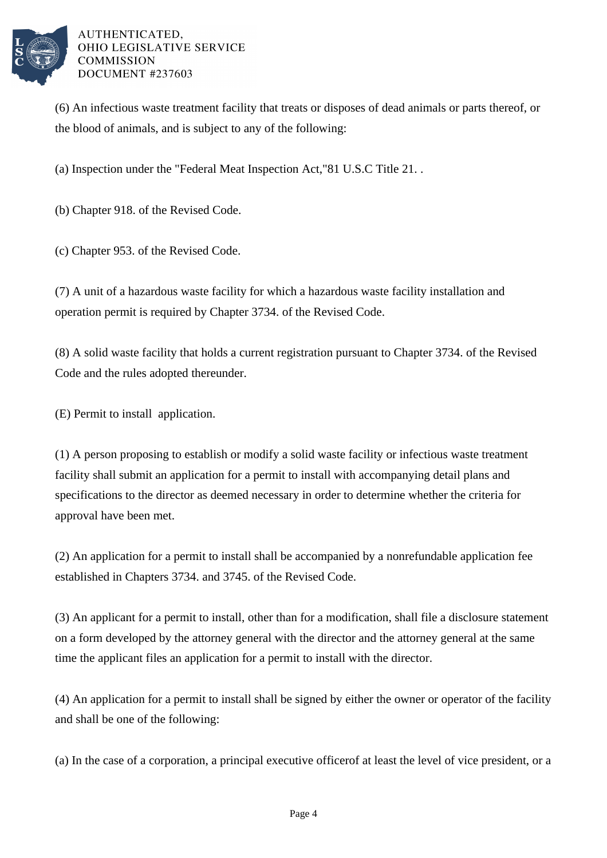

(6) An infectious waste treatment facility that treats or disposes of dead animals or parts thereof, or the blood of animals, and is subject to any of the following:

(a) Inspection under the "Federal Meat Inspection Act," 81 U.S.C Title 21. .

(b) Chapter 918. of the Revised Code.

(c) Chapter 953. of the Revised Code.

(7) A unit of a hazardous waste facility for which a hazardous waste facility installation and operation permit is required by Chapter 3734. of the Revised Code.

 $(8)$  A solid waste facility that holds a current registration pursuant to Chapter 3734. of the Revised Code and the rules adopted thereunder.

(E) Permit to install application.

(1) A person proposing to establish or modify a solid waste facility or infectious waste treatment facility shall submit an application for a permit to install with accompanying detail plans and specifications to the director as deemed necessary in order to determine whether the criteria for approval have been met.

(2) An application for a permit to install shall be accompanied by a nonrefundable application fee established in Chapters 3734. and 3745. of the Revised Code.

(3) An applicant for a permit to install, other than for a modification, shall file a disclosure statement on a form developed by the attorney general with the director and the attorney general at the same time the applicant files an application for a permit to install with the director.

(4) An application for a permit to install shall be signed by either the owner or operator of the facility and shall be one of the following:

(a) In the case of a corporation, a principal executive officer of at least the level of vice president, or a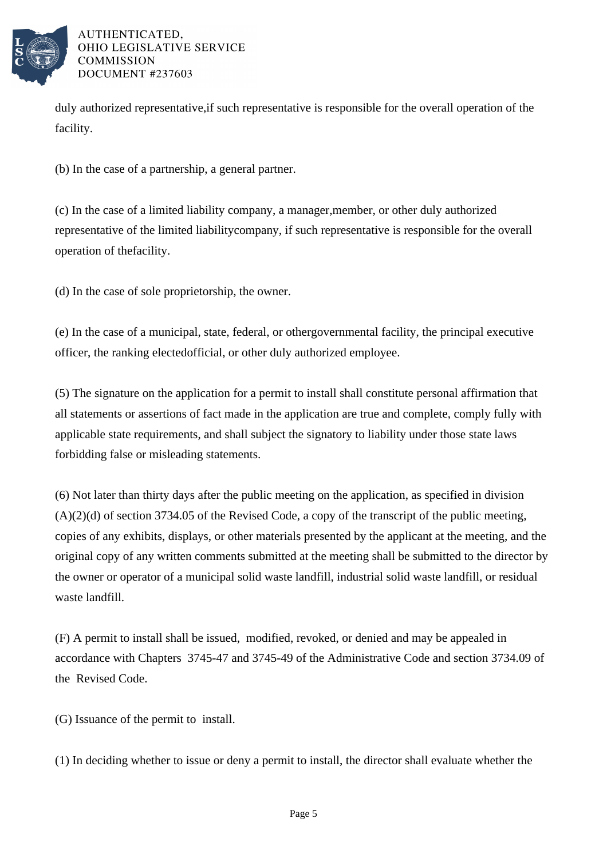

duly authorized representative, if such representative is responsible for the overall operation of the facility.

(b) In the case of a partnership, a general partner.

(c) In the case of a limited liability company, a manager, member, or other duly authorized representative of the limited liability company, if such representative is responsible for the overall operation of the facility.

(d) In the case of sole proprietorship, the owner.

(e) In the case of a municipal, state, federal, or other governmental facility, the principal executive officer, the ranking elected official, or other duly authorized employee.

(5) The signature on the application for a permit to install shall constitute personal affirmation that all statements or assertions of fact made in the application are true and complete, comply fully with applicable state requirements, and shall subject the signatory to liability under those state laws forbidding false or misleading statements.

(6) Not later than thirty days after the public meeting on the application, as specified in division  $(A)(2)(d)$  of section 3734.05 of the Revised Code, a copy of the transcript of the public meeting, copies of any exhibits, displays, or other materials presented by the applicant at the meeting, and the original copy of any written comments submitted at the meeting shall be submitted to the director by the owner or operator of a municipal solid waste landfill, industrial solid waste landfill, or residual waste landfill.

(F) A permit to install shall be issued, modified, revoked, or denied and may be appealed in accordance with Chapters 3745-47 and 3745-49 of the Administrative Code and section 3734.09 of the Revised Code.

(G) Issuance of the permit to install.

 $(1)$  In deciding whether to issue or deny a permit to install, the director shall evaluate whether the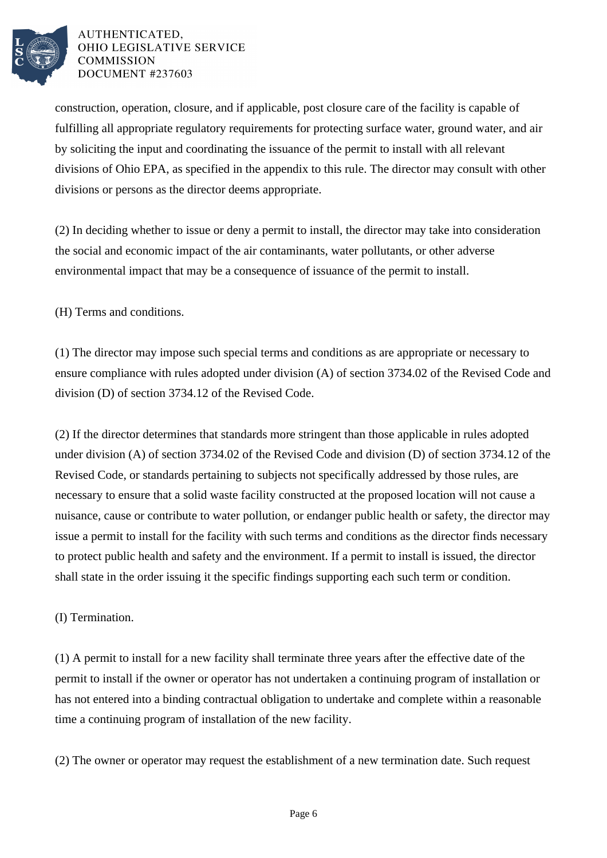

construction, operation, closure, and if applicable, post closure care of the facility is capable of fulfilling all appropriate regulatory requirements for protecting surface water, ground water, and air by soliciting the input and coordinating the issuance of the permit to install with all relevant divisions of Ohio EPA, as specified in the appendix to this rule. The director may consult with other divisions or persons as the director deems appropriate.

 $(2)$  In deciding whether to issue or deny a permit to install, the director may take into consideration the social and economic impact of the air contaminants, water pollutants, or other adverse environmental impact that may be a consequence of issuance of the permit to install.

(H) Terms and conditions.

(1) The director may impose such special terms and conditions as are appropriate or necessary to ensure compliance with rules adopted under division (A) of section 3734.02 of the Revised Code and division (D) of section 3734.12 of the Revised Code.

(2) If the director determines that standards more stringent than those applicable in rules adopted under division (A) of section 3734.02 of the Revised Code and division (D) of section 3734.12 of the Revised Code, or standards pertaining to subjects not specifically addressed by those rules, are necessary to ensure that a solid waste facility constructed at the proposed location will not cause a nuisance, cause or contribute to water pollution, or endanger public health or safety, the director may issue a permit to install for the facility with such terms and conditions as the director finds necessary to protect public health and safety and the environment. If a permit to install is issued, the director shall state in the order issuing it the specific findings supporting each such term or condition.

## (I) Termination.

(1) A permit to install for a new facility shall terminate three years after the effective date of the permit to install if the owner or operator has not undertaken a continuing program of installation or has not entered into a binding contractual obligation to undertake and complete within a reasonable time a continuing program of installation of the new facility.

(2) The owner or operator may request the establishment of a new termination date. Such request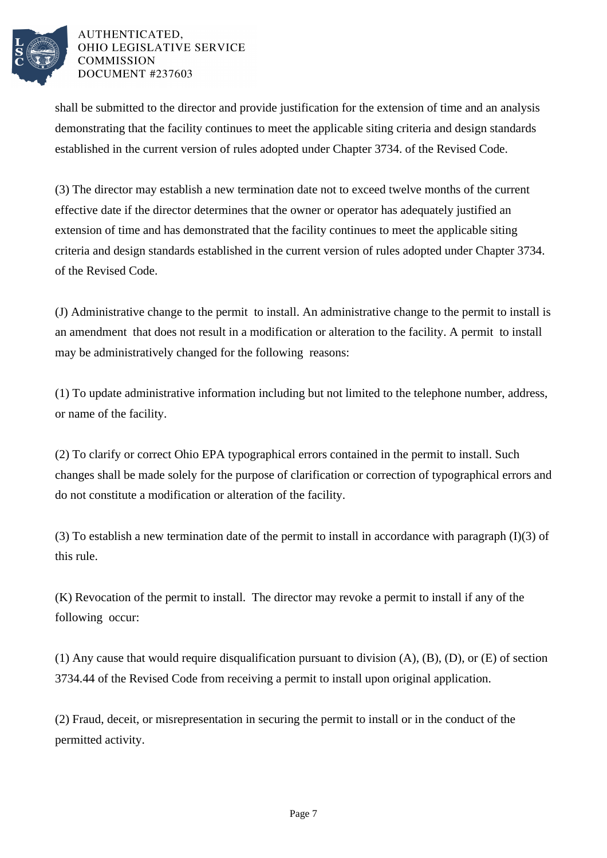

shall be submitted to the director and provide justification for the extension of time and an analysis demonstrating that the facility continues to meet the applicable siting criteria and design standards established in the current version of rules adopted under Chapter 3734. of the Revised Code.

(3) The director may establish a new termination date not to exceed twelve months of the current effective date if the director determines that the owner or operator has adequately justified an extension of time and has demonstrated that the facility continues to meet the applicable siting criteria and design standards established in the current version of rules adopted under Chapter 3734. of the Revised Code.

(J) Administrative change to the permit to install. An administrative change to the permit to install is an amendment that does not result in a modification or alteration to the facility. A permit to install may be administratively changed for the following reasons:

(1) To update administrative information including but not limited to the telephone number, address, or name of the facility.

(2) To clarify or correct Ohio EPA typographical errors contained in the permit to install. Such changes shall be made solely for the purpose of clarification or correction of typographical errors and do not constitute a modification or alteration of the facility.

(3) To establish a new termination date of the permit to install in accordance with paragraph  $(I)(3)$  of this rule.

(K) Revocation of the permit to install. The director may revoke a permit to install if any of the following occur:

(1) Any cause that would require disqualification pursuant to division  $(A)$ ,  $(B)$ ,  $(D)$ , or  $(E)$  of section 3734.44 of the Revised Code from receiving a permit to install upon original application.

(2) Fraud, deceit, or misrepresentation in securing the permit to install or in the conduct of the permitted activity.